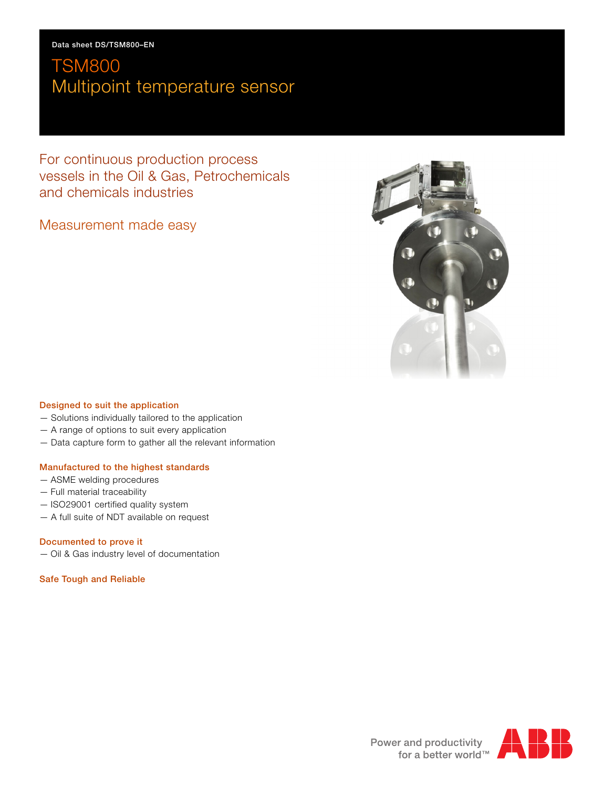For continuous production process vessels in the Oil & Gas, Petrochemicals and chemicals industries

# Measurement made easy



### **Designed to suit the application**

- Solutions individually tailored to the application
- A range of options to suit every application
- Data capture form to gather all the relevant information

### **Manufactured to the highest standards**

- ASME welding procedures
- Full material traceability
- ISO29001 certified quality system
- A full suite of NDT available on request

## **Documented to prove it**

— Oil & Gas industry level of documentation

### **Safe Tough and Reliable**



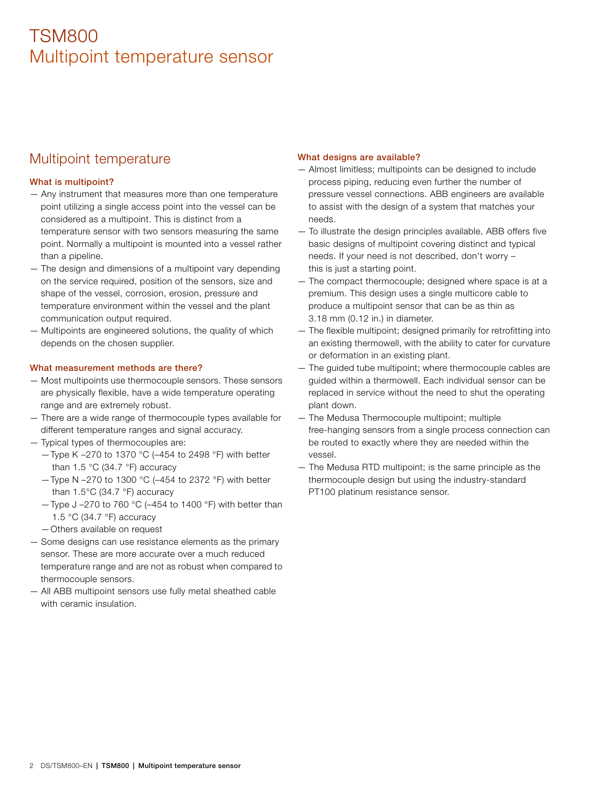# Multipoint temperature

# **What is multipoint?**

- Any instrument that measures more than one temperature point utilizing a single access point into the vessel can be considered as a multipoint. This is distinct from a temperature sensor with two sensors measuring the same point. Normally a multipoint is mounted into a vessel rather than a pipeline.
- The design and dimensions of a multipoint vary depending on the service required, position of the sensors, size and shape of the vessel, corrosion, erosion, pressure and temperature environment within the vessel and the plant communication output required.
- Multipoints are engineered solutions, the quality of which depends on the chosen supplier.

### **What measurement methods are there?**

- Most multipoints use thermocouple sensors. These sensors are physically flexible, have a wide temperature operating range and are extremely robust.
- There are a wide range of thermocouple types available for different temperature ranges and signal accuracy.
- Typical types of thermocouples are:
	- —Type K –270 to 1370 °C (–454 to 2498 °F) with better than 1.5 °C (34.7 °F) accuracy
	- —Type N –270 to 1300 °C (–454 to 2372 °F) with better than 1.5°C (34.7 °F) accuracy
	- —Type J –270 to 760 °C (–454 to 1400 °F) with better than 1.5 °C (34.7 °F) accuracy
	- —Others available on request
- Some designs can use resistance elements as the primary sensor. These are more accurate over a much reduced temperature range and are not as robust when compared to thermocouple sensors.
- All ABB multipoint sensors use fully metal sheathed cable with ceramic insulation.

#### **What designs are available?**

- Almost limitless; multipoints can be designed to include process piping, reducing even further the number of pressure vessel connections. ABB engineers are available to assist with the design of a system that matches your needs.
- To illustrate the design principles available, ABB offers five basic designs of multipoint covering distinct and typical needs. If your need is not described, don't worry – this is just a starting point.
- The compact thermocouple; designed where space is at a premium. This design uses a single multicore cable to produce a multipoint sensor that can be as thin as 3.18 mm (0.12 in.) in diameter.
- The flexible multipoint; designed primarily for retrofitting into an existing thermowell, with the ability to cater for curvature or deformation in an existing plant.
- The guided tube multipoint; where thermocouple cables are guided within a thermowell. Each individual sensor can be replaced in service without the need to shut the operating plant down.
- The Medusa Thermocouple multipoint; multiple free-hanging sensors from a single process connection can be routed to exactly where they are needed within the vessel.
- The Medusa RTD multipoint; is the same principle as the thermocouple design but using the industry-standard PT100 platinum resistance sensor.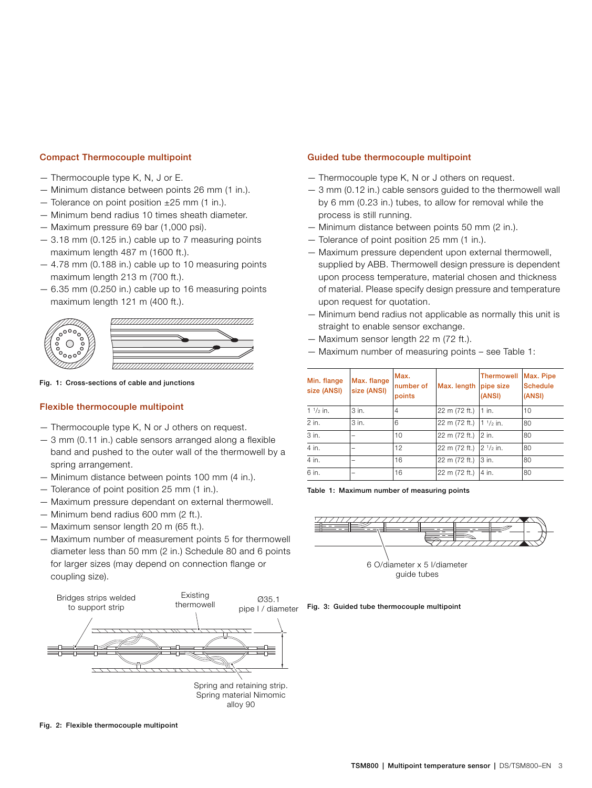#### **Compact Thermocouple multipoint**

- Thermocouple type K, N, J or E.
- Minimum distance between points 26 mm (1 in.).
- $-$  Tolerance on point position  $\pm 25$  mm (1 in.).
- Minimum bend radius 10 times sheath diameter.
- Maximum pressure 69 bar (1,000 psi).
- 3.18 mm (0.125 in.) cable up to 7 measuring points maximum length 487 m (1600 ft.).
- 4.78 mm (0.188 in.) cable up to 10 measuring points maximum length 213 m (700 ft.).
- 6.35 mm (0.250 in.) cable up to 16 measuring points maximum length 121 m (400 ft.).



**Fig. 1: Cross-sections of cable and junctions**

#### **Flexible thermocouple multipoint**

- Thermocouple type K, N or J others on request.
- 3 mm (0.11 in.) cable sensors arranged along a flexible band and pushed to the outer wall of the thermowell by a spring arrangement.
- Minimum distance between points 100 mm (4 in.).
- Tolerance of point position 25 mm (1 in.).
- Maximum pressure dependant on external thermowell.
- Minimum bend radius 600 mm (2 ft.).
- Maximum sensor length 20 m (65 ft.).
- Maximum number of measurement points 5 for thermowell diameter less than 50 mm (2 in.) Schedule 80 and 6 points for larger sizes (may depend on connection flange or coupling size).



**Fig. 2: Flexible thermocouple multipoint**

#### **Guided tube thermocouple multipoint**

- Thermocouple type K, N or J others on request.
- 3 mm (0.12 in.) cable sensors guided to the thermowell wall by 6 mm (0.23 in.) tubes, to allow for removal while the process is still running.
- Minimum distance between points 50 mm (2 in.).
- Tolerance of point position 25 mm (1 in.).
- Maximum pressure dependent upon external thermowell, supplied by ABB. Thermowell design pressure is dependent upon process temperature, material chosen and thickness of material. Please specify design pressure and temperature upon request for quotation.
- Minimum bend radius not applicable as normally this unit is straight to enable sensor exchange.
- Maximum sensor length 22 m (72 ft.).
- Maximum number of measuring points see Table 1:

| Min. flange<br>size (ANSI) | Max. flange<br>size (ANSI) | Max.<br>number of<br>points | Max. length   | <b>Thermowell</b><br>pipe size<br>(ANSI) | Max. Pipe<br><b>Schedule</b><br>(ANSI) |
|----------------------------|----------------------------|-----------------------------|---------------|------------------------------------------|----------------------------------------|
| $1 \frac{1}{2}$ in.        | 3 in.                      | 4                           | 22 m (72 ft.) | $1$ in.                                  | 10                                     |
| 2 in.                      | 3 in.                      | 6                           | 22 m (72 ft.) | $1^{1/2}$ in.                            | 80                                     |
| 3 in.                      |                            | 10                          | 22 m (72 ft.) | 2 in.                                    | 80                                     |
| 4 in.                      |                            | 12                          | 22 m (72 ft.) | $2^{1/2}$ in.                            | 80                                     |
| 4 in.                      | -                          | 16                          | 22 m (72 ft.) | 3 in.                                    | 80                                     |
| 6 in.                      |                            | 16                          | 22 m (72 ft.) | 4 in.                                    | 80                                     |

**Table 1: Maximum number of measuring points**



6 O/diameter x 5 I/diameter guide tubes

**Fig. 3: Guided tube thermocouple multipoint**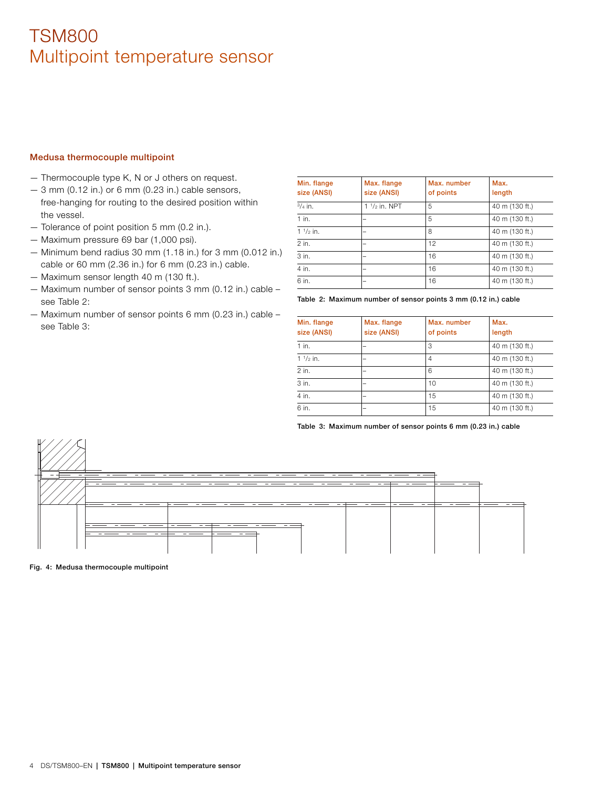#### **Medusa thermocouple multipoint**

- Thermocouple type K, N or J others on request.
- 3 mm (0.12 in.) or 6 mm (0.23 in.) cable sensors, free-hanging for routing to the desired position within the vessel.
- Tolerance of point position 5 mm (0.2 in.).
- Maximum pressure 69 bar (1,000 psi).
- Minimum bend radius 30 mm (1.18 in.) for 3 mm (0.012 in.) cable or 60 mm (2.36 in.) for 6 mm (0.23 in.) cable.
- Maximum sensor length 40 m (130 ft.).
- Maximum number of sensor points 3 mm (0.12 in.) cable see Table 2:
- Maximum number of sensor points 6 mm (0.23 in.) cable see Table 3:

| Min. flange<br>size (ANSI) | Max. flange<br>size (ANSI) | Max. number<br>of points | Max.<br>length |
|----------------------------|----------------------------|--------------------------|----------------|
| $3/4$ in.                  | 1 $1/2$ in. NPT            | 5                        | 40 m (130 ft.) |
| $1$ in.                    |                            | 5                        | 40 m (130 ft.) |
| $1 \frac{1}{2}$ in.        |                            | 8                        | 40 m (130 ft.) |
| $2$ in.                    |                            | 12                       | 40 m (130 ft.) |
| 3 in.                      |                            | 16                       | 40 m (130 ft.) |
| 4 in.                      |                            | 16                       | 40 m (130 ft.) |
| 6 in.                      |                            | 16                       | 40 m (130 ft.) |

**Table 2: Maximum number of sensor points 3 mm (0.12 in.) cable**

| Min. flange<br>size (ANSI) | Max. flange<br>size (ANSI) | Max. number<br>of points | Max.<br>length |
|----------------------------|----------------------------|--------------------------|----------------|
| $1$ in.                    |                            | 3                        | 40 m (130 ft.) |
| $1 \frac{1}{2}$ in.        |                            | 4                        | 40 m (130 ft.) |
| 2 in.                      |                            | 6                        | 40 m (130 ft.) |
| 3 in.                      |                            | 10                       | 40 m (130 ft.) |
| 4 in.                      |                            | 15                       | 40 m (130 ft.) |
| 6 in.                      |                            | 15                       | 40 m (130 ft.) |

**Table 3: Maximum number of sensor points 6 mm (0.23 in.) cable**



**Fig. 4: Medusa thermocouple multipoint**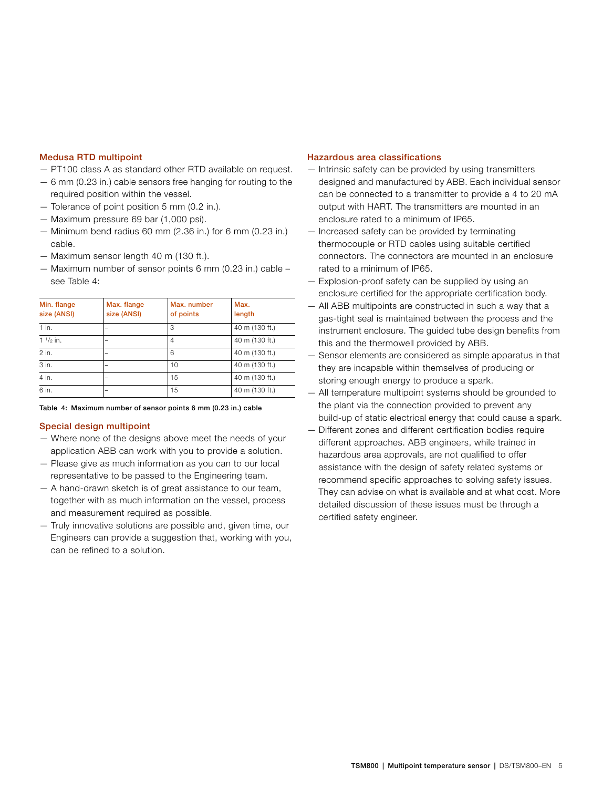#### **Medusa RTD multipoint**

- PT100 class A as standard other RTD available on request.
- 6 mm (0.23 in.) cable sensors free hanging for routing to the required position within the vessel.
- Tolerance of point position 5 mm (0.2 in.).
- Maximum pressure 69 bar (1,000 psi).
- Minimum bend radius 60 mm (2.36 in.) for 6 mm (0.23 in.) cable.
- Maximum sensor length 40 m (130 ft.).
- Maximum number of sensor points 6 mm (0.23 in.) cable see Table 4:

| Min. flange<br>size (ANSI) | Max. flange<br>size (ANSI) | Max. number<br>of points | Max.<br>length |
|----------------------------|----------------------------|--------------------------|----------------|
| $1$ in.                    |                            | 3                        | 40 m (130 ft.) |
| $1 \frac{1}{2}$ in.        |                            | 4                        | 40 m (130 ft.) |
| 2 in.                      |                            | 6                        | 40 m (130 ft.) |
| 3 in.                      |                            | 10                       | 40 m (130 ft.) |
| 4 in.                      |                            | 15                       | 40 m (130 ft.) |
| 6 in.                      |                            | 15                       | 40 m (130 ft.) |

**Table 4: Maximum number of sensor points 6 mm (0.23 in.) cable**

#### **Special design multipoint**

- Where none of the designs above meet the needs of your application ABB can work with you to provide a solution.
- Please give as much information as you can to our local representative to be passed to the Engineering team.
- A hand-drawn sketch is of great assistance to our team, together with as much information on the vessel, process and measurement required as possible.
- Truly innovative solutions are possible and, given time, our Engineers can provide a suggestion that, working with you, can be refined to a solution.

#### **Hazardous area classifications**

- Intrinsic safety can be provided by using transmitters designed and manufactured by ABB. Each individual sensor can be connected to a transmitter to provide a 4 to 20 mA output with HART. The transmitters are mounted in an enclosure rated to a minimum of IP65.
- Increased safety can be provided by terminating thermocouple or RTD cables using suitable certified connectors. The connectors are mounted in an enclosure rated to a minimum of IP65.
- Explosion-proof safety can be supplied by using an enclosure certified for the appropriate certification body.
- All ABB multipoints are constructed in such a way that a gas-tight seal is maintained between the process and the instrument enclosure. The guided tube design benefits from this and the thermowell provided by ABB.
- Sensor elements are considered as simple apparatus in that they are incapable within themselves of producing or storing enough energy to produce a spark.
- All temperature multipoint systems should be grounded to the plant via the connection provided to prevent any build-up of static electrical energy that could cause a spark.
- Different zones and different certification bodies require different approaches. ABB engineers, while trained in hazardous area approvals, are not qualified to offer assistance with the design of safety related systems or recommend specific approaches to solving safety issues. They can advise on what is available and at what cost. More detailed discussion of these issues must be through a certified safety engineer.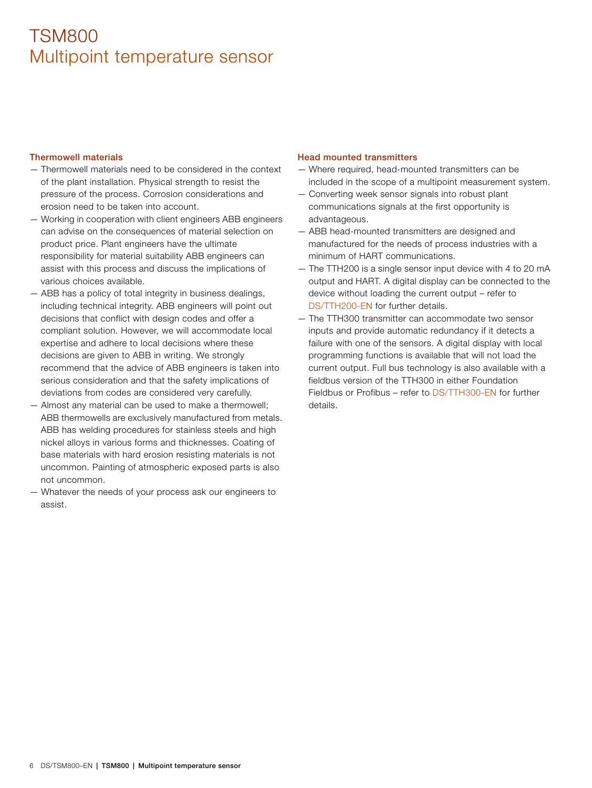#### **Thermowell materials**

- Thermowell materials need to be considered in the context of the plant installation. Physical strength to resist the pressure of the process. Corrosion considerations and erosion need to be taken into account.
- Working in cooperation with client engineers ABB engineers can advise on the consequences of material selection on product price. Plant engineers have the ultimate responsibility for material suitability ABB engineers can assist with this process and discuss the implications of various choices available.
- ABB has a policy of total integrity in business dealings, including technical integrity. ABB engineers will point out decisions that conflict with design codes and offer a compliant solution. However, we will accommodate local expertise and adhere to local decisions where these decisions are given to ABB in writing. We strongly recommend that the advice of ABB engineers is taken into serious consideration and that the safety implications of deviations from codes are considered very carefully.
- Almost any material can be used to make a thermowell; ABB thermowells are exclusively manufactured from metals. ABB has welding procedures for stainless steels and high nickel alloys in various forms and thicknesses. Coating of base materials with hard erosion resisting materials is not uncommon. Painting of atmospheric exposed parts is also not uncommon.
- Whatever the needs of your process ask our engineers to assist.

### **Head mounted transmitters**

- Where required, head-mounted transmitters can be included in the scope of a multipoint measurement system.
- Converting week sensor signals into robust plant communications signals at the first opportunity is advantageous.
- ABB head-mounted transmitters are designed and manufactured for the needs of process industries with a minimum of HART communications.
- The TTH200 is a single sensor input device with 4 to 20 mA output and HART. A digital display can be connected to the device without loading the current output – refer to [DS/TTH200-EN](http://search.abb.com/library/Download.aspx?DocumentID=DS/TTH200-EN&LanguageCode=en&DocumentPartId=&Action=Launch) for further details.
- The TTH300 transmitter can accommodate two sensor inputs and provide automatic redundancy if it detects a failure with one of the sensors. A digital display with local programming functions is available that will not load the current output. Full bus technology is also available with a fieldbus version of the TTH300 in either Foundation Fieldbus or Profibus – refer to [DS/TTH300-EN](http://search.abb.com/library/Download.aspx?DocumentID=DS/TTH300-EN&LanguageCode=en&DocumentPartId=&Action=Launch) for further details.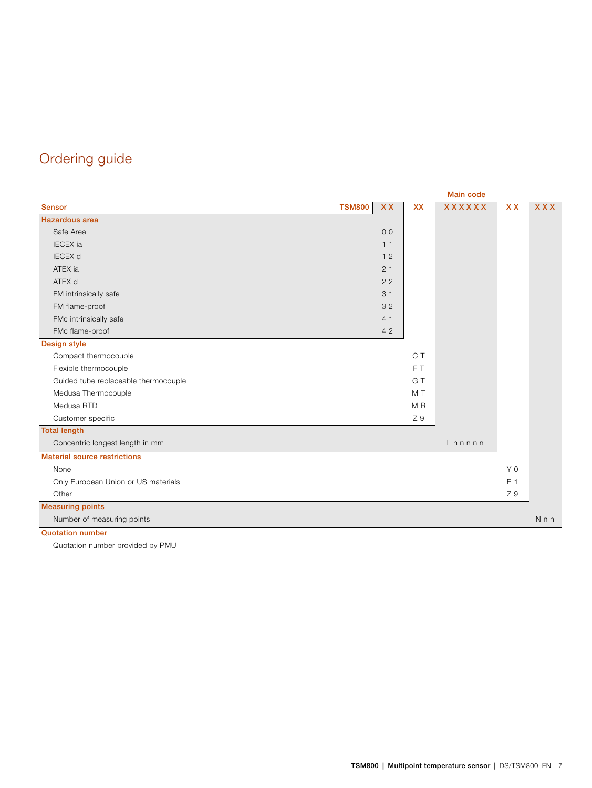# Ordering guide

|                                      |               | <b>Main code</b> |                |               |                |                |
|--------------------------------------|---------------|------------------|----------------|---------------|----------------|----------------|
| <b>Sensor</b>                        | <b>TSM800</b> | <b>XX</b>        | <b>XX</b>      | <b>XXXXXX</b> | <b>XX</b>      | <b>XXX</b>     |
| <b>Hazardous</b> area                |               |                  |                |               |                |                |
| Safe Area                            |               | 0 <sup>0</sup>   |                |               |                |                |
| <b>IECEX</b> ia                      |               | 11               |                |               |                |                |
| <b>IECEX d</b>                       |               | 12               |                |               |                |                |
| ATEX ia                              |               | 21               |                |               |                |                |
| ATEX d                               |               | 22               |                |               |                |                |
| FM intrinsically safe                |               | 31               |                |               |                |                |
| FM flame-proof                       |               | 32               |                |               |                |                |
| FMc intrinsically safe               |               | 4 1              |                |               |                |                |
| FMc flame-proof                      |               | 42               |                |               |                |                |
| Design style                         |               |                  |                |               |                |                |
| Compact thermocouple                 |               |                  | C T            |               |                |                |
| Flexible thermocouple                |               |                  | FT <sub></sub> |               |                |                |
| Guided tube replaceable thermocouple |               |                  | G T            |               |                |                |
| Medusa Thermocouple                  |               |                  | M T            |               |                |                |
| Medusa RTD                           |               |                  | M R            |               |                |                |
| Customer specific                    |               |                  | Z 9            |               |                |                |
| <b>Total length</b>                  |               |                  |                |               |                |                |
| Concentric longest length in mm      |               |                  |                | Lnnnnn        |                |                |
| <b>Material source restrictions</b>  |               |                  |                |               |                |                |
| None                                 |               |                  |                |               | Y <sub>0</sub> |                |
| Only European Union or US materials  |               |                  |                |               | E 1            |                |
| Other                                |               |                  |                |               | Z 9            |                |
| <b>Measuring points</b>              |               |                  |                |               |                |                |
| Number of measuring points           |               |                  |                |               |                | N <sub>n</sub> |
| <b>Quotation number</b>              |               |                  |                |               |                |                |
| Quotation number provided by PMU     |               |                  |                |               |                |                |